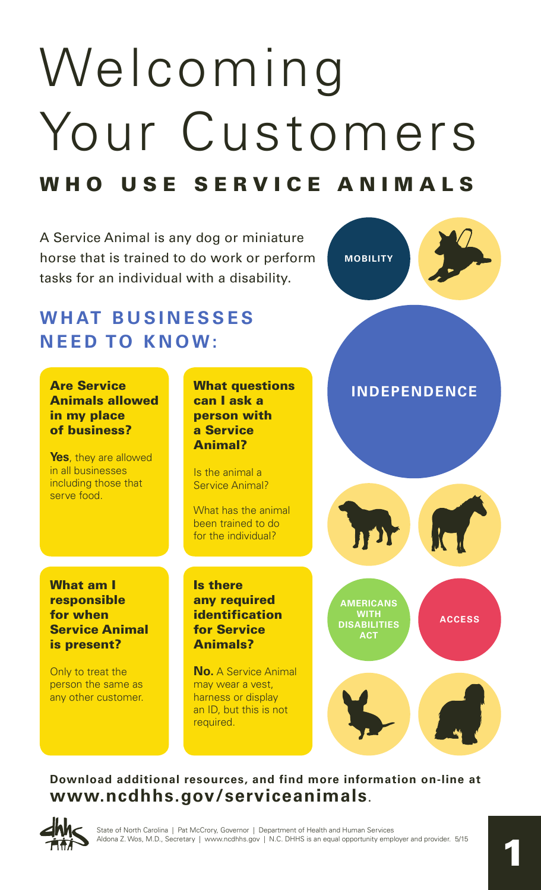# Welcoming Your Customers WHO USE SERVICE ANIMALS

A Service Animal is any dog or miniature horse that is trained to do work or perform tasks for an individual with a disability. **MOBILITY INDEPENDENCE AMERICANS WITH DISABILITIES ACT ACCESS WHAT BUSINESSES NEED TO KNOW:** Are Service Animals allowed in my place of business? **Yes**, they are allowed in all businesses including those that serve food. What questions can I ask a person with a Service Animal? Is the animal a Service Animal? What has the animal been trained to do for the individual? What am I responsible for when Service Animal is present? Only to treat the person the same as any other customer. Is there any required identification for Service Animals? **No.** A Service Animal may wear a vest, harness or display an ID, but this is not required.

## **Download additional resources, and find more information on-line at [www.ncdhhs.gov/serviceanimals.](http://www.ncdhhs.gov/serviceanimals)**

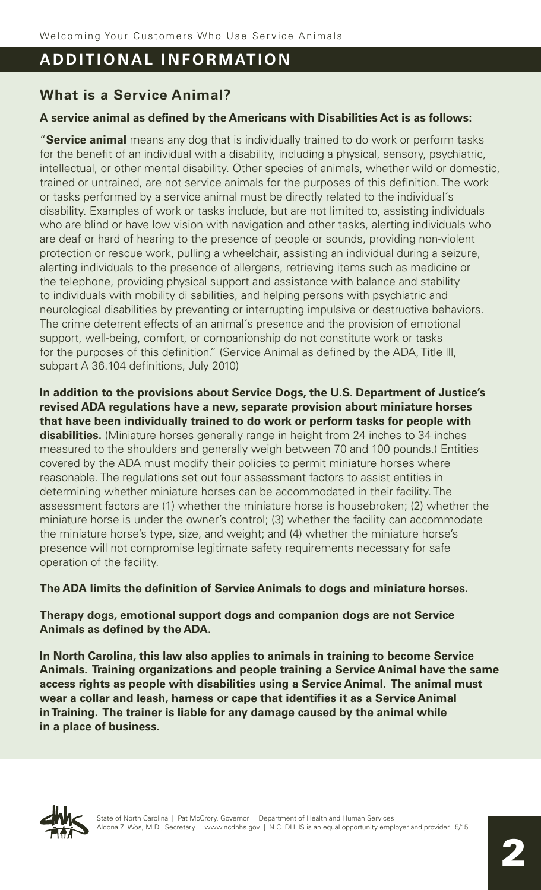# **ADDITIONAL INFORMATION**

# **What is a Service Animal?**

## **A service animal as defined by the Americans with Disabilities Act is as follows:**

"**Service animal** means any dog that is individually trained to do work or perform tasks for the benefit of an individual with a disability, including a physical, sensory, psychiatric, intellectual, or other mental disability. Other species of animals, whether wild or domestic, trained or untrained, are not service animals for the purposes of this definition. The work or tasks performed by a service animal must be directly related to the individual´s disability. Examples of work or tasks include, but are not limited to, assisting individuals who are blind or have low vision with navigation and other tasks, alerting individuals who are deaf or hard of hearing to the presence of people or sounds, providing non-violent protection or rescue work, pulling a wheelchair, assisting an individual during a seizure, alerting individuals to the presence of allergens, retrieving items such as medicine or the telephone, providing physical support and assistance with balance and stability to individuals with mobility di sabilities, and helping persons with psychiatric and neurological disabilities by preventing or interrupting impulsive or destructive behaviors. The crime deterrent effects of an animal´s presence and the provision of emotional support, well-being, comfort, or companionship do not constitute work or tasks for the purposes of this definition." (Service Animal as defined by the ADA, Title lll, subpart A 36.104 definitions, July 2010)

**In addition to the provisions about Service Dogs, the U.S. Department of Justice's revised ADA regulations have a new, separate provision about miniature horses that have been individually trained to do work or perform tasks for people with disabilities.** (Miniature horses generally range in height from 24 inches to 34 inches measured to the shoulders and generally weigh between 70 and 100 pounds.) Entities covered by the ADA must modify their policies to permit miniature horses where reasonable. The regulations set out four assessment factors to assist entities in determining whether miniature horses can be accommodated in their facility. The assessment factors are (1) whether the miniature horse is housebroken; (2) whether the miniature horse is under the owner's control; (3) whether the facility can accommodate the miniature horse's type, size, and weight; and (4) whether the miniature horse's presence will not compromise legitimate safety requirements necessary for safe operation of the facility.

## **The ADA limits the definition of Service Animals to dogs and miniature horses.**

## **Therapy dogs, emotional support dogs and companion dogs are not Service Animals as defined by the ADA.**

**In North Carolina, this law also applies to animals in training to become Service Animals. Training organizations and people training a Service Animal have the same access rights as people with disabilities using a Service Animal. The animal must wear a collar and leash, harness or cape that identifies it as a Service Animal in Training. The trainer is liable for any damage caused by the animal while in a place of business.**